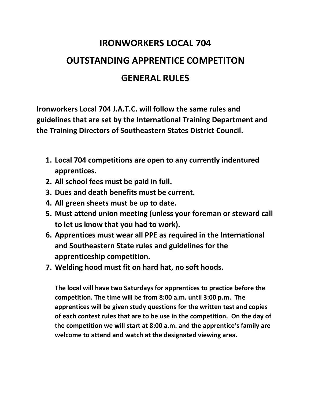## **IRONWORKERS LOCAL 704 OUTSTANDING APPRENTICE COMPETITON GENERAL RULES**

**Ironworkers Local 704 J.A.T.C. will follow the same rules and guidelines that are set by the International Training Department and the Training Directors of Southeastern States District Council.**

- **1. Local 704 competitions are open to any currently indentured apprentices.**
- **2. All school fees must be paid in full.**
- **3. Dues and death benefits must be current.**
- **4. All green sheets must be up to date.**
- **5. Must attend union meeting (unless your foreman or steward call to let us know that you had to work).**
- **6. Apprentices must wear all PPE as required in the International and Southeastern State rules and guidelines for the apprenticeship competition.**
- **7. Welding hood must fit on hard hat, no soft hoods.**

**The local will have two Saturdays for apprentices to practice before the competition. The time will be from 8:00 a.m. until 3:00 p.m. The apprentices will be given study questions for the written test and copies of each contest rules that are to be use in the competition. On the day of the competition we will start at 8:00 a.m. and the apprentice's family are welcome to attend and watch at the designated viewing area.**